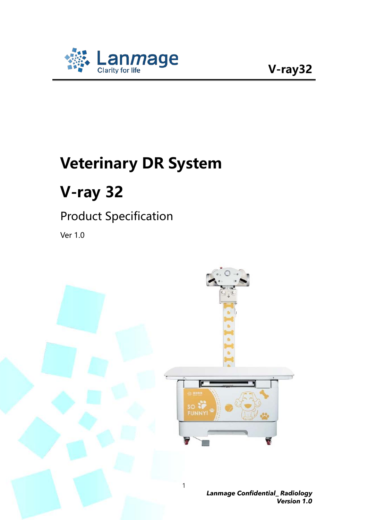

# **Veterinary DR System**

# **V-ray 32**

#### Product Specification

Ver 1.0

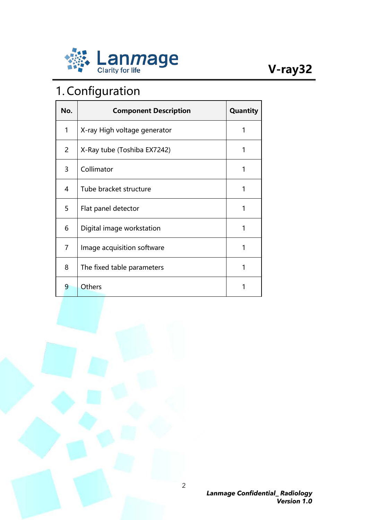

### 1. Configuration

| No. | <b>Component Description</b> | Quantity |
|-----|------------------------------|----------|
| 1   | X-ray High voltage generator | 1        |
| 2   | X-Ray tube (Toshiba EX7242)  | 1        |
| 3   | Collimator                   | 1        |
| 4   | Tube bracket structure       | 1        |
| 5   | Flat panel detector          | 1        |
| 6   | Digital image workstation    | 1        |
| 7   | Image acquisition software   | 1        |
| 8   | The fixed table parameters   | 1        |
| 9   | Others                       |          |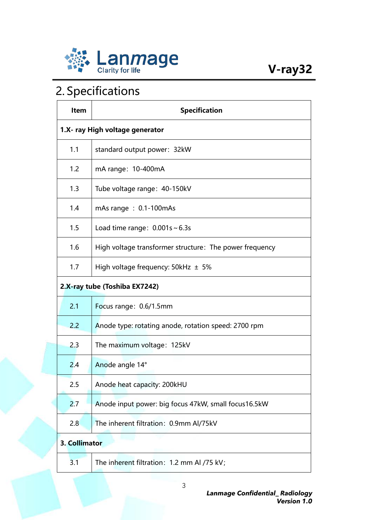

### 2. Specifications

| <b>Item</b>                     | <b>Specification</b>                                    |  |
|---------------------------------|---------------------------------------------------------|--|
| 1.X- ray High voltage generator |                                                         |  |
| 1.1                             | standard output power: 32kW                             |  |
| 1.2                             | mA range: 10-400mA                                      |  |
| 1.3                             | Tube voltage range: 40-150kV                            |  |
| 1.4                             | mAs range: $0.1 - 100$ mAs                              |  |
| 1.5                             | Load time range: $0.001s \sim 6.3s$                     |  |
| 1.6                             | High voltage transformer structure: The power frequency |  |
| 1.7                             | High voltage frequency: $50kHz \pm 5\%$                 |  |
| 2.X-ray tube (Toshiba EX7242)   |                                                         |  |
| 2.1                             | Focus range: 0.6/1.5mm                                  |  |
| 2.2                             | Anode type: rotating anode, rotation speed: 2700 rpm    |  |
| 2.3                             | The maximum voltage: 125kV                              |  |
| 2.4                             | Anode angle 14°                                         |  |
| 2.5                             | Anode heat capacity: 200kHU                             |  |
| 2.7                             | Anode input power: big focus 47kW, small focus16.5kW    |  |
| 2.8                             | The inherent filtration: 0.9mm Al/75kV                  |  |
| 3. Collimator                   |                                                         |  |
| 3.1                             | The inherent filtration: 1.2 mm Al /75 kV;              |  |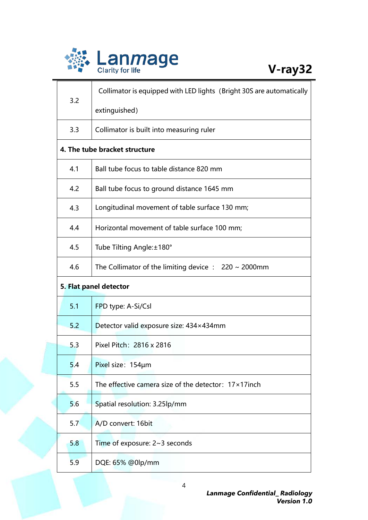

| 3.2                           | Collimator is equipped with LED lights (Bright 30S are automatically |  |
|-------------------------------|----------------------------------------------------------------------|--|
|                               | extinguished)                                                        |  |
| 3.3                           | Collimator is built into measuring ruler                             |  |
| 4. The tube bracket structure |                                                                      |  |
| 4.1                           | Ball tube focus to table distance 820 mm                             |  |
| 4.2                           | Ball tube focus to ground distance 1645 mm                           |  |
| 4.3                           | Longitudinal movement of table surface 130 mm;                       |  |
| 4.4                           | Horizontal movement of table surface 100 mm;                         |  |
| 4.5                           | Tube Tilting Angle: ±180°                                            |  |
| 4.6                           | The Collimator of the limiting device $: 220 \sim 2000$ mm           |  |
| 5. Flat panel detector        |                                                                      |  |
| 5.1                           | FPD type: A-Si/Csl                                                   |  |
| 5.2                           | Detector valid exposure size: 434×434mm                              |  |
| 5.3                           | Pixel Pitch: 2816 x 2816                                             |  |
| 5.4                           | Pixel size: 154µm                                                    |  |
| 5.5                           | The effective camera size of the detector: $17 \times 17$ inch       |  |
| 5.6                           | Spatial resolution: 3.25lp/mm                                        |  |
| 5.7                           | A/D convert: 16bit                                                   |  |
| 5.8                           | Time of exposure: $2~3$ seconds                                      |  |
| 5.9                           | DQE: 65% @0lp/mm                                                     |  |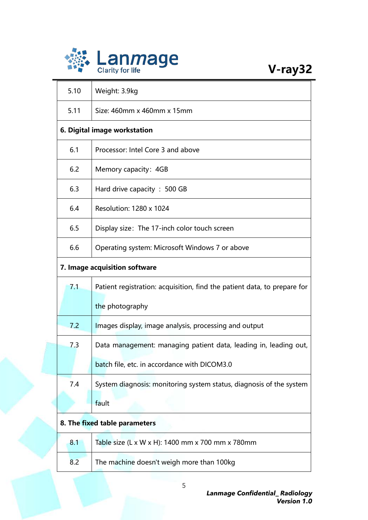

| 5.10                          | Weight: 3.9kg                                                            |  |
|-------------------------------|--------------------------------------------------------------------------|--|
| 5.11                          | Size: 460mm x 460mm x 15mm                                               |  |
| 6. Digital image workstation  |                                                                          |  |
| 6.1                           | Processor: Intel Core 3 and above                                        |  |
| 6.2                           | Memory capacity: 4GB                                                     |  |
| 6.3                           | Hard drive capacity: 500 GB                                              |  |
| 6.4                           | Resolution: 1280 x 1024                                                  |  |
| 6.5                           | Display size: The 17-inch color touch screen                             |  |
| 6.6                           | Operating system: Microsoft Windows 7 or above                           |  |
| 7. Image acquisition software |                                                                          |  |
| 7.1                           | Patient registration: acquisition, find the patient data, to prepare for |  |
|                               | the photography                                                          |  |
| 7.2                           | Images display, image analysis, processing and output                    |  |
| 7.3                           | Data management: managing patient data, leading in, leading out,         |  |
|                               | batch file, etc. in accordance with DICOM3.0                             |  |
| 7.4                           | System diagnosis: monitoring system status, diagnosis of the system      |  |
|                               | fault                                                                    |  |
| 8. The fixed table parameters |                                                                          |  |
| 8.1                           | Table size (L x W x H): 1400 mm x 700 mm x 780mm                         |  |
| 8.2                           | The machine doesn't weigh more than 100kg                                |  |